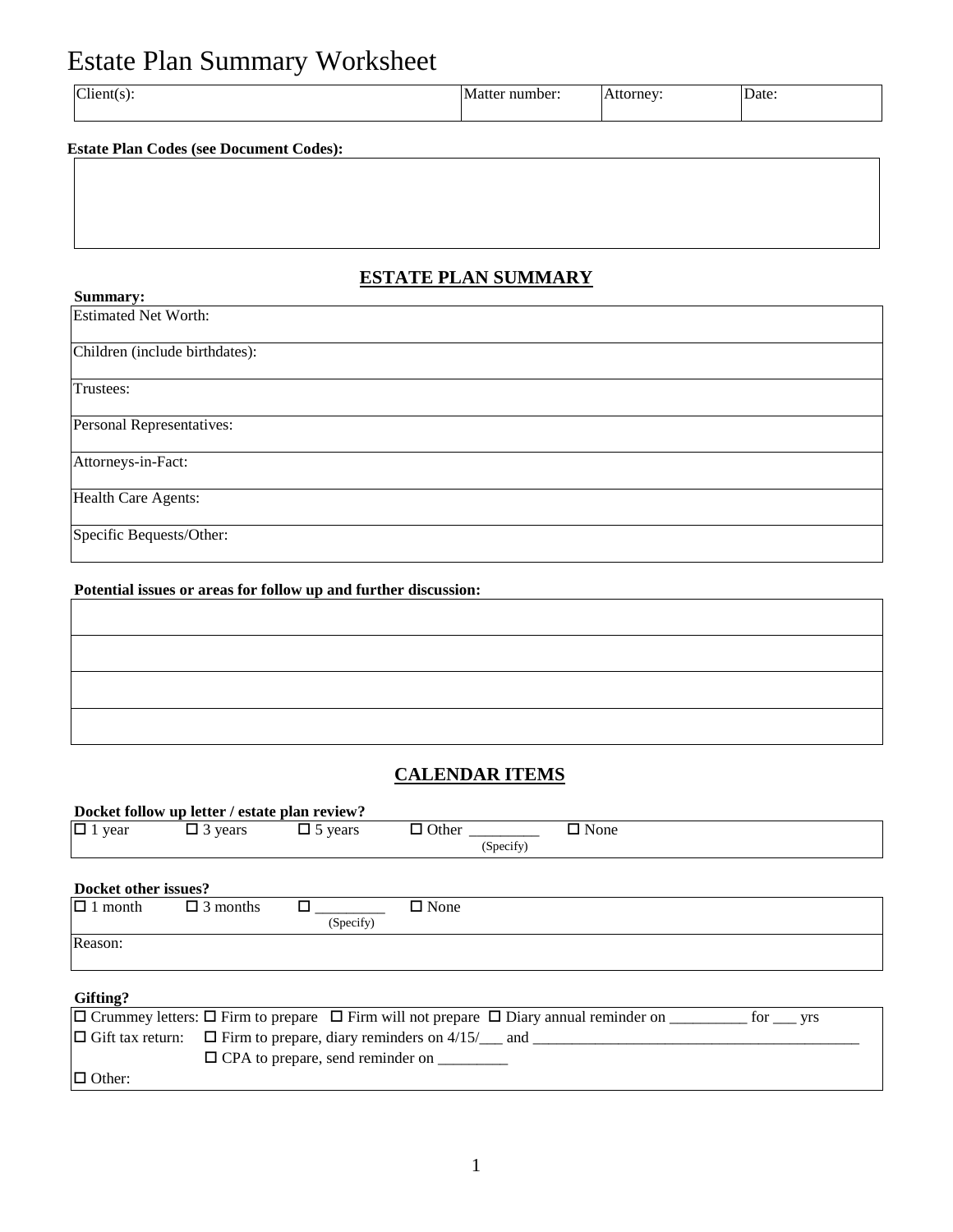# Estate Plan Summary Worksheet

| $Client(s)$ .<br>Date:<br>iber<br>orne <sup>,</sup> |  |
|-----------------------------------------------------|--|
|-----------------------------------------------------|--|

#### **Estate Plan Codes (see Document Codes):**

### **ESTATE PLAN SUMMARY**

| Summary:                       |
|--------------------------------|
| <b>Estimated Net Worth:</b>    |
|                                |
| Children (include birthdates): |
|                                |
| Trustees:                      |
|                                |
| Personal Representatives:      |
|                                |
| Attorneys-in-Fact:             |
|                                |
| Health Care Agents:            |
|                                |
| Specific Bequests/Other:       |
|                                |

## **Potential issues or areas for follow up and further discussion:**

### **CALENDAR ITEMS**

| Docket follow up letter / estate plan review?                                                 |                 |                                                |             |           |             |  |  |  |
|-----------------------------------------------------------------------------------------------|-----------------|------------------------------------------------|-------------|-----------|-------------|--|--|--|
| $\Box$ 1 year                                                                                 | $\Box$ 3 years  | $\Box$ 5 years                                 |             |           | $\Box$ None |  |  |  |
|                                                                                               |                 |                                                |             | (Specify) |             |  |  |  |
|                                                                                               |                 |                                                |             |           |             |  |  |  |
| Docket other issues?                                                                          |                 |                                                |             |           |             |  |  |  |
| $\Box$ 1 month                                                                                | $\Box$ 3 months | п                                              | $\Box$ None |           |             |  |  |  |
|                                                                                               |                 | (Specify)                                      |             |           |             |  |  |  |
| Reason:                                                                                       |                 |                                                |             |           |             |  |  |  |
|                                                                                               |                 |                                                |             |           |             |  |  |  |
|                                                                                               |                 |                                                |             |           |             |  |  |  |
| Gifting?                                                                                      |                 |                                                |             |           |             |  |  |  |
|                                                                                               |                 |                                                |             |           |             |  |  |  |
| $\Box$ Gift tax return:<br>$\Box$ Firm to prepare, diary reminders on 4/15/ $\Box$ and $\Box$ |                 |                                                |             |           |             |  |  |  |
|                                                                                               |                 | $\Box$ CPA to prepare, send reminder on $\Box$ |             |           |             |  |  |  |
| $\Box$ Other:                                                                                 |                 |                                                |             |           |             |  |  |  |